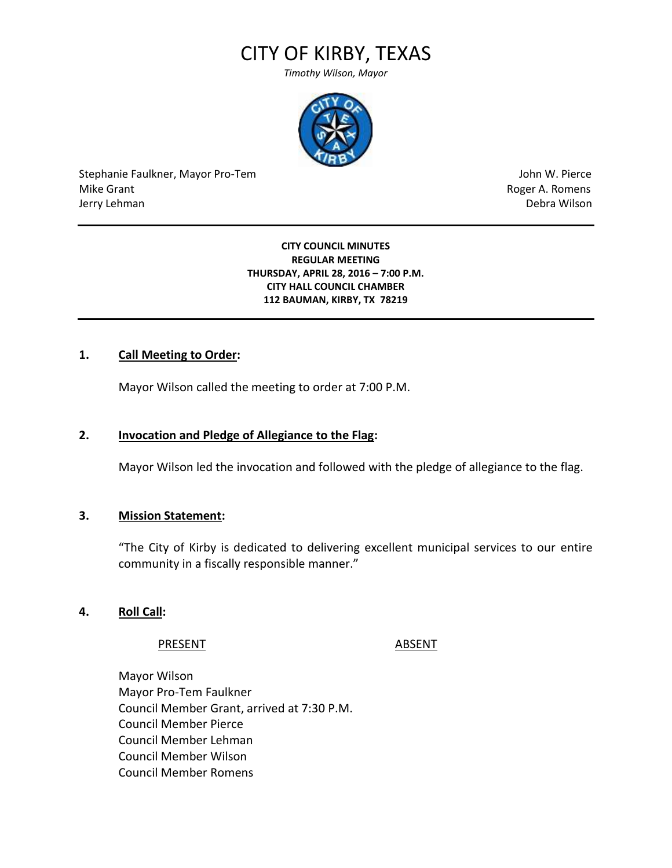# CITY OF KIRBY, TEXAS

*Timothy Wilson, Mayor*



Stephanie Faulkner, Mayor Pro-Tem John W. Pierce Mike Grant **Mike Grant** Roger A. Romens **Contract A. Romens Contract A. Romens Contract A. Romens** Jerry Lehman Debra Wilson (2008) and the state of the state of the state of the state of the state of the state of the state of the state of the state of the state of the state of the state of the state of the state of the

**CITY COUNCIL MINUTES REGULAR MEETING THURSDAY, APRIL 28, 2016 – 7:00 P.M. CITY HALL COUNCIL CHAMBER 112 BAUMAN, KIRBY, TX 78219**

# **1. Call Meeting to Order:**

Mayor Wilson called the meeting to order at 7:00 P.M.

### **2. Invocation and Pledge of Allegiance to the Flag:**

Mayor Wilson led the invocation and followed with the pledge of allegiance to the flag.

### **3. Mission Statement:**

"The City of Kirby is dedicated to delivering excellent municipal services to our entire community in a fiscally responsible manner."

### **4. Roll Call:**

### PRESENT ABSENT

Mayor Wilson Mayor Pro-Tem Faulkner Council Member Grant, arrived at 7:30 P.M. Council Member Pierce Council Member Lehman Council Member Wilson Council Member Romens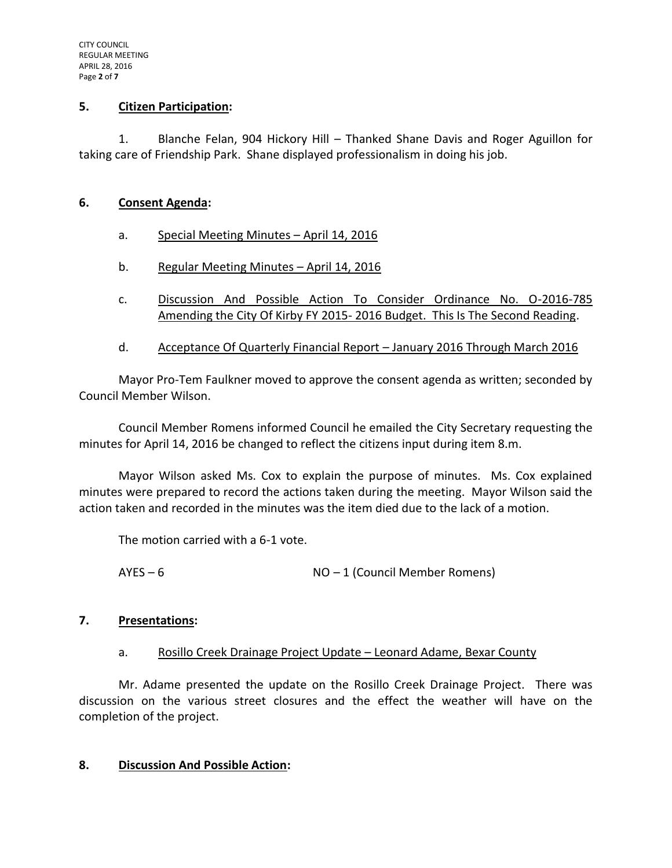#### **5. Citizen Participation:**

1. Blanche Felan, 904 Hickory Hill – Thanked Shane Davis and Roger Aguillon for taking care of Friendship Park. Shane displayed professionalism in doing his job.

#### **6. Consent Agenda:**

- a. Special Meeting Minutes April 14, 2016
- b. Regular Meeting Minutes April 14, 2016
- c. Discussion And Possible Action To Consider Ordinance No. O-2016-785 Amending the City Of Kirby FY 2015- 2016 Budget. This Is The Second Reading.
- d. Acceptance Of Quarterly Financial Report January 2016 Through March 2016

Mayor Pro-Tem Faulkner moved to approve the consent agenda as written; seconded by Council Member Wilson.

Council Member Romens informed Council he emailed the City Secretary requesting the minutes for April 14, 2016 be changed to reflect the citizens input during item 8.m.

Mayor Wilson asked Ms. Cox to explain the purpose of minutes. Ms. Cox explained minutes were prepared to record the actions taken during the meeting. Mayor Wilson said the action taken and recorded in the minutes was the item died due to the lack of a motion.

The motion carried with a 6-1 vote.

AYES – 6 NO – 1 (Council Member Romens)

### **7. Presentations:**

### a. Rosillo Creek Drainage Project Update – Leonard Adame, Bexar County

Mr. Adame presented the update on the Rosillo Creek Drainage Project. There was discussion on the various street closures and the effect the weather will have on the completion of the project.

### **8. Discussion And Possible Action:**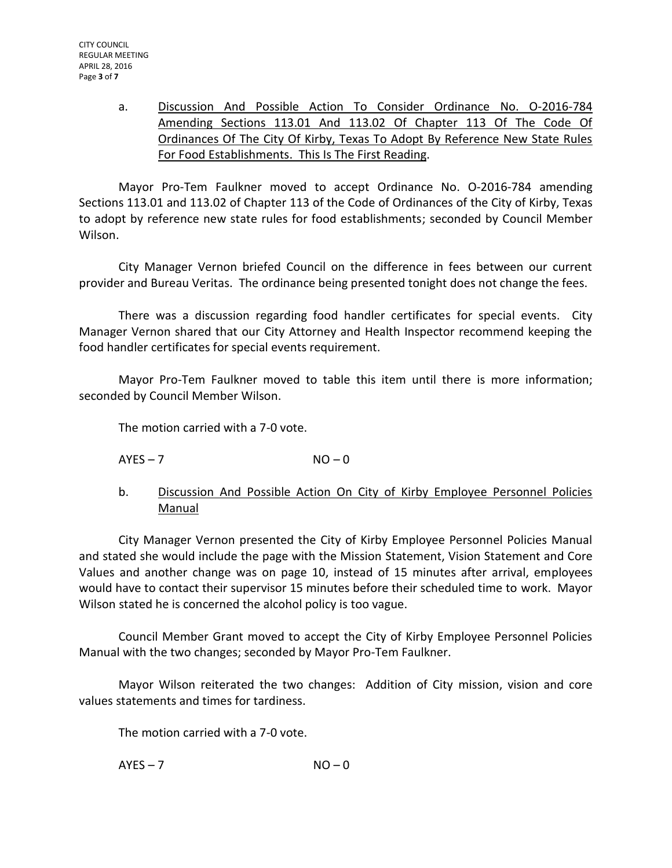a. Discussion And Possible Action To Consider Ordinance No. O-2016-784 Amending Sections 113.01 And 113.02 Of Chapter 113 Of The Code Of Ordinances Of The City Of Kirby, Texas To Adopt By Reference New State Rules For Food Establishments. This Is The First Reading.

Mayor Pro-Tem Faulkner moved to accept Ordinance No. O-2016-784 amending Sections 113.01 and 113.02 of Chapter 113 of the Code of Ordinances of the City of Kirby, Texas to adopt by reference new state rules for food establishments; seconded by Council Member Wilson.

City Manager Vernon briefed Council on the difference in fees between our current provider and Bureau Veritas. The ordinance being presented tonight does not change the fees.

There was a discussion regarding food handler certificates for special events. City Manager Vernon shared that our City Attorney and Health Inspector recommend keeping the food handler certificates for special events requirement.

Mayor Pro-Tem Faulkner moved to table this item until there is more information; seconded by Council Member Wilson.

The motion carried with a 7-0 vote.

 $AYES - 7$   $NO - 0$ 

b. Discussion And Possible Action On City of Kirby Employee Personnel Policies Manual

City Manager Vernon presented the City of Kirby Employee Personnel Policies Manual and stated she would include the page with the Mission Statement, Vision Statement and Core Values and another change was on page 10, instead of 15 minutes after arrival, employees would have to contact their supervisor 15 minutes before their scheduled time to work. Mayor Wilson stated he is concerned the alcohol policy is too vague.

Council Member Grant moved to accept the City of Kirby Employee Personnel Policies Manual with the two changes; seconded by Mayor Pro-Tem Faulkner.

Mayor Wilson reiterated the two changes: Addition of City mission, vision and core values statements and times for tardiness.

The motion carried with a 7-0 vote.

 $AYES - 7$   $NO - 0$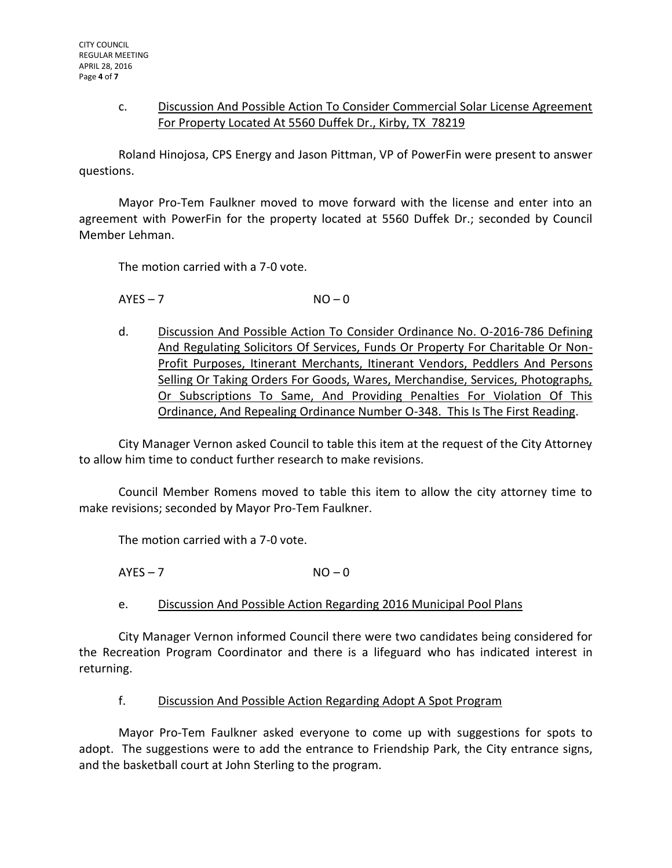# c. Discussion And Possible Action To Consider Commercial Solar License Agreement For Property Located At 5560 Duffek Dr., Kirby, TX 78219

Roland Hinojosa, CPS Energy and Jason Pittman, VP of PowerFin were present to answer questions.

Mayor Pro-Tem Faulkner moved to move forward with the license and enter into an agreement with PowerFin for the property located at 5560 Duffek Dr.; seconded by Council Member Lehman.

The motion carried with a 7-0 vote.

 $AYES - 7$   $NO - 0$ 

d. Discussion And Possible Action To Consider Ordinance No. O-2016-786 Defining And Regulating Solicitors Of Services, Funds Or Property For Charitable Or Non-Profit Purposes, Itinerant Merchants, Itinerant Vendors, Peddlers And Persons Selling Or Taking Orders For Goods, Wares, Merchandise, Services, Photographs, Or Subscriptions To Same, And Providing Penalties For Violation Of This Ordinance, And Repealing Ordinance Number O-348. This Is The First Reading.

City Manager Vernon asked Council to table this item at the request of the City Attorney to allow him time to conduct further research to make revisions.

Council Member Romens moved to table this item to allow the city attorney time to make revisions; seconded by Mayor Pro-Tem Faulkner.

The motion carried with a 7-0 vote.

 $AYES - 7$   $NO - 0$ 

e. Discussion And Possible Action Regarding 2016 Municipal Pool Plans

City Manager Vernon informed Council there were two candidates being considered for the Recreation Program Coordinator and there is a lifeguard who has indicated interest in returning.

### f. Discussion And Possible Action Regarding Adopt A Spot Program

Mayor Pro-Tem Faulkner asked everyone to come up with suggestions for spots to adopt. The suggestions were to add the entrance to Friendship Park, the City entrance signs, and the basketball court at John Sterling to the program.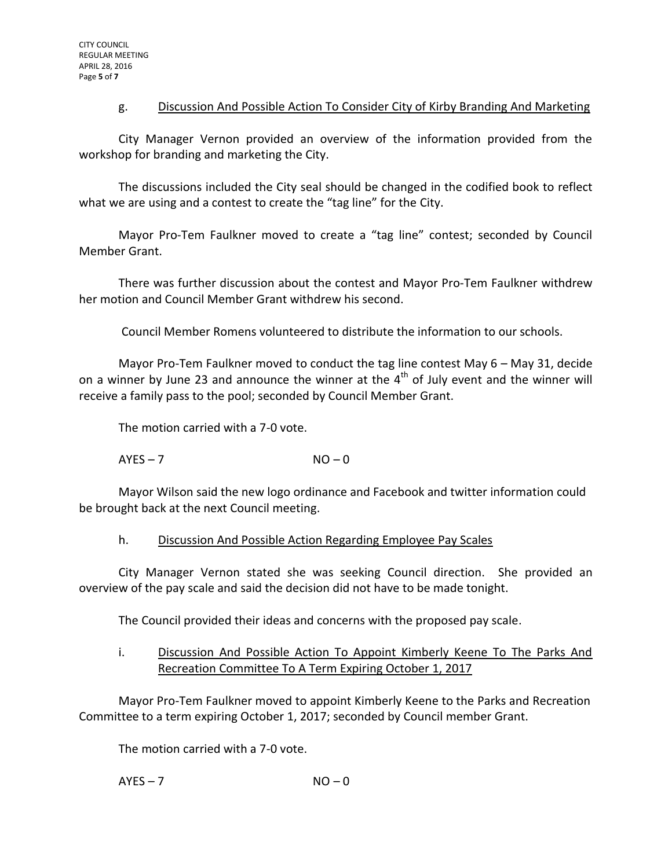# g. Discussion And Possible Action To Consider City of Kirby Branding And Marketing

City Manager Vernon provided an overview of the information provided from the workshop for branding and marketing the City.

The discussions included the City seal should be changed in the codified book to reflect what we are using and a contest to create the "tag line" for the City.

Mayor Pro-Tem Faulkner moved to create a "tag line" contest; seconded by Council Member Grant.

There was further discussion about the contest and Mayor Pro-Tem Faulkner withdrew her motion and Council Member Grant withdrew his second.

Council Member Romens volunteered to distribute the information to our schools.

Mayor Pro-Tem Faulkner moved to conduct the tag line contest May 6 – May 31, decide on a winner by June 23 and announce the winner at the  $4<sup>th</sup>$  of July event and the winner will receive a family pass to the pool; seconded by Council Member Grant.

The motion carried with a 7-0 vote.

 $AYES - 7$   $NO - 0$ 

Mayor Wilson said the new logo ordinance and Facebook and twitter information could be brought back at the next Council meeting.

### h. Discussion And Possible Action Regarding Employee Pay Scales

City Manager Vernon stated she was seeking Council direction. She provided an overview of the pay scale and said the decision did not have to be made tonight.

The Council provided their ideas and concerns with the proposed pay scale.

# i. Discussion And Possible Action To Appoint Kimberly Keene To The Parks And Recreation Committee To A Term Expiring October 1, 2017

Mayor Pro-Tem Faulkner moved to appoint Kimberly Keene to the Parks and Recreation Committee to a term expiring October 1, 2017; seconded by Council member Grant.

The motion carried with a 7-0 vote.

 $AYES - 7$   $NO - 0$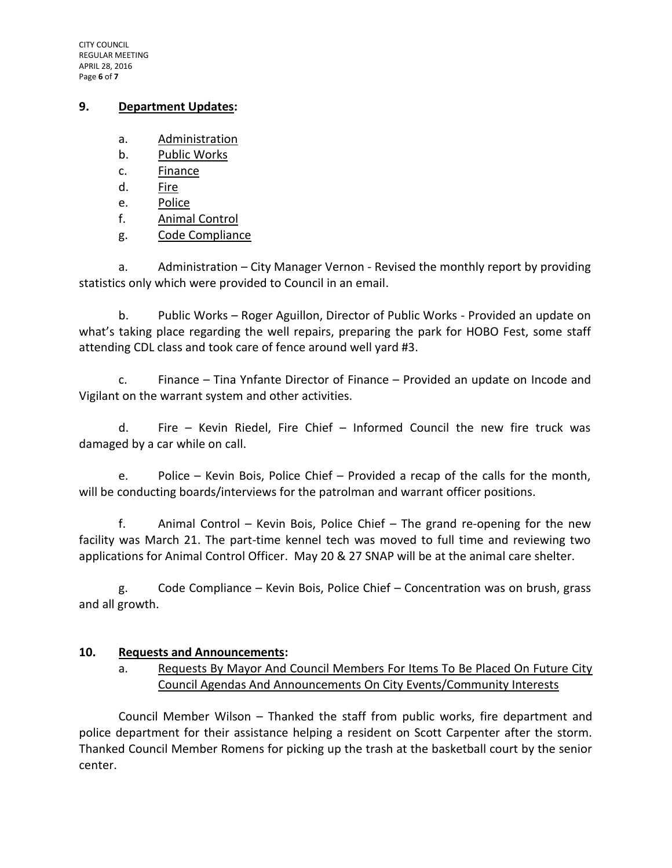CITY COUNCIL REGULAR MEETING APRIL 28, 2016 Page **6** of **7**

#### **9. Department Updates:**

- a. Administration
- b. Public Works
- c. Finance
- d. Fire
- e. Police
- f. Animal Control
- g. Code Compliance

a. Administration – City Manager Vernon - Revised the monthly report by providing statistics only which were provided to Council in an email.

b. Public Works – Roger Aguillon, Director of Public Works - Provided an update on what's taking place regarding the well repairs, preparing the park for HOBO Fest, some staff attending CDL class and took care of fence around well yard #3.

c. Finance – Tina Ynfante Director of Finance – Provided an update on Incode and Vigilant on the warrant system and other activities.

d. Fire – Kevin Riedel, Fire Chief – Informed Council the new fire truck was damaged by a car while on call.

e. Police – Kevin Bois, Police Chief – Provided a recap of the calls for the month, will be conducting boards/interviews for the patrolman and warrant officer positions.

f. Animal Control – Kevin Bois, Police Chief – The grand re-opening for the new facility was March 21. The part-time kennel tech was moved to full time and reviewing two applications for Animal Control Officer. May 20 & 27 SNAP will be at the animal care shelter.

g. Code Compliance – Kevin Bois, Police Chief – Concentration was on brush, grass and all growth.

### **10. Requests and Announcements:**

a. Requests By Mayor And Council Members For Items To Be Placed On Future City Council Agendas And Announcements On City Events/Community Interests

Council Member Wilson – Thanked the staff from public works, fire department and police department for their assistance helping a resident on Scott Carpenter after the storm. Thanked Council Member Romens for picking up the trash at the basketball court by the senior center.